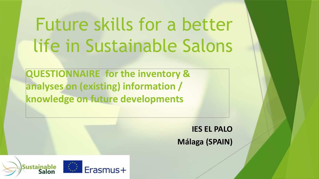## Future skills for a better life in Sustainable Salons

**QUESTIONNAIRE for the inventory & analyses on (existing) information / knowledge on future developments**

> **IES EL PALO Málaga (SPAIN)**

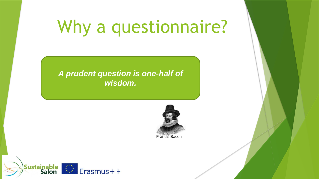### Why a questionnaire?

#### *A prudent question is one-half of wisdom.*



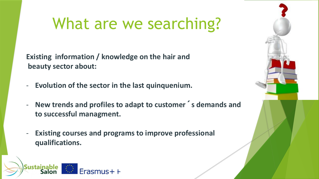### What are we searching?

**Existing information / knowledge on the hair and beauty sector about:**

- **Evolution of the sector in the last quinquenium.**
- **New trends and profiles to adapt to customer´s demands and to successful managment.**
- **Existing courses and programs to improve professional qualifications.**

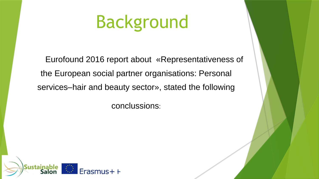### Background

Eurofound 2016 report about «Representativeness of the European social partner organisations: Personal services–hair and beauty sector», stated the following

conclussions:

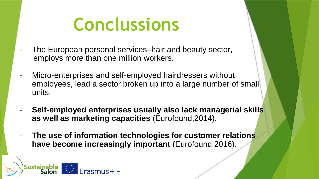### **Conclussions**

- The European personal services–hair and beauty sector, employs more than one million workers.
- Micro-enterprises and self-employed hairdressers without employees, lead a sector broken up into a large number of small units.
- **Self-employed enterprises usually also lack managerial skills as well as marketing capacities** (Eurofound,2014).
- **The use of information technologies for customer relations**  have become increasingly important (Eurofound 2016).

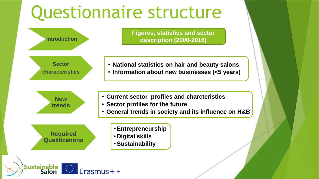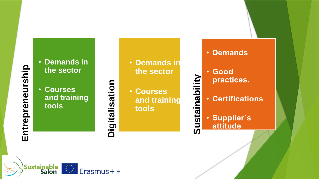# Entrepreneurship **Entrepreneurship**

• **Demands in the sector**

• **Courses**

**tools**

Sustainable<br>Salon

**and training** 

Erasmus++

# **Digitalisation**

• **Demands in the sector**

• **Courses and training tools**

**Sustainability**Sustainability

- Demands
- · Good practices.
- **Certifications**
- **Supplier's** attitude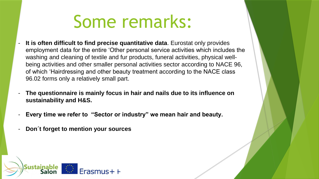### Some remarks:

- **It is often difficult to find precise quantitative data**. Eurostat only provides employment data for the entire 'Other personal service activities which includes the washing and cleaning of textile and fur products, funeral activities, physical wellbeing activities and other smaller personal activities sector according to NACE 96, of which 'Hairdressing and other beauty treatment according to the NACE class 96.02 forms only a relatively small part.
- **The questionnaire is mainly focus in hair and nails due to its influence on sustainability and H&S.**
- **Every time we refer to "Sector or industry" we mean hair and beauty.**
- **Don´t forget to mention your sources**